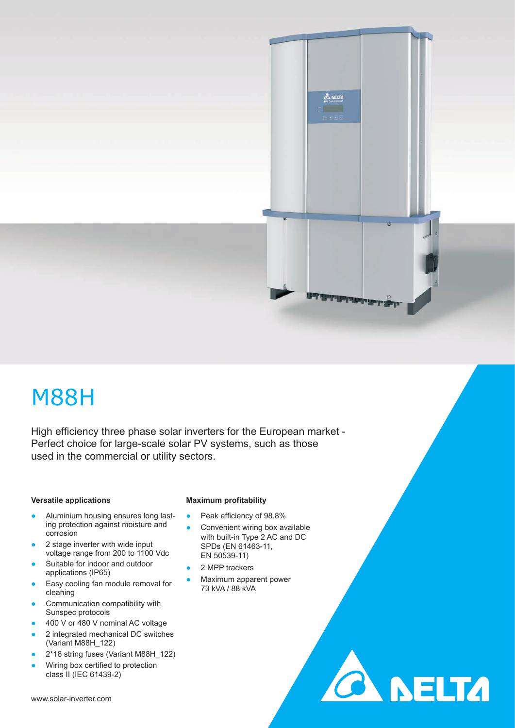# M88H

High efficiency three phase solar inverters for the European market -Perfect choice for large-scale solar PV systems, such as those used in the commercial or utility sectors.

#### **Versatile applications**

- Aluminium housing ensures long lasting protection against moisture and corrosion
- 2 stage inverter with wide input voltage range from 200 to 1100 Vdc
- Suitable for indoor and outdoor applications (IP65)
- Easy cooling fan module removal for cleaning
- Communication compatibility with Sunspec protocols
- 400 V or 480 V nominal AC voltage
- 2 integrated mechanical DC switches (Variant M88H\_122)
- 2\*18 string fuses (Variant M88H\_122)
- Wiring box certified to protection class II (IEC 61439-2)

#### **Maximum profitability**

- Peak efficiency of 98.8%
- Convenient wiring box available with built-in Type 2 AC and DC SPDs (EN 61463-11, EN 50539-11)

**CA NELTA** 

**A NELTA** 

- 2 MPP trackers
- Maximum apparent power 73 kVA / 88 kVA